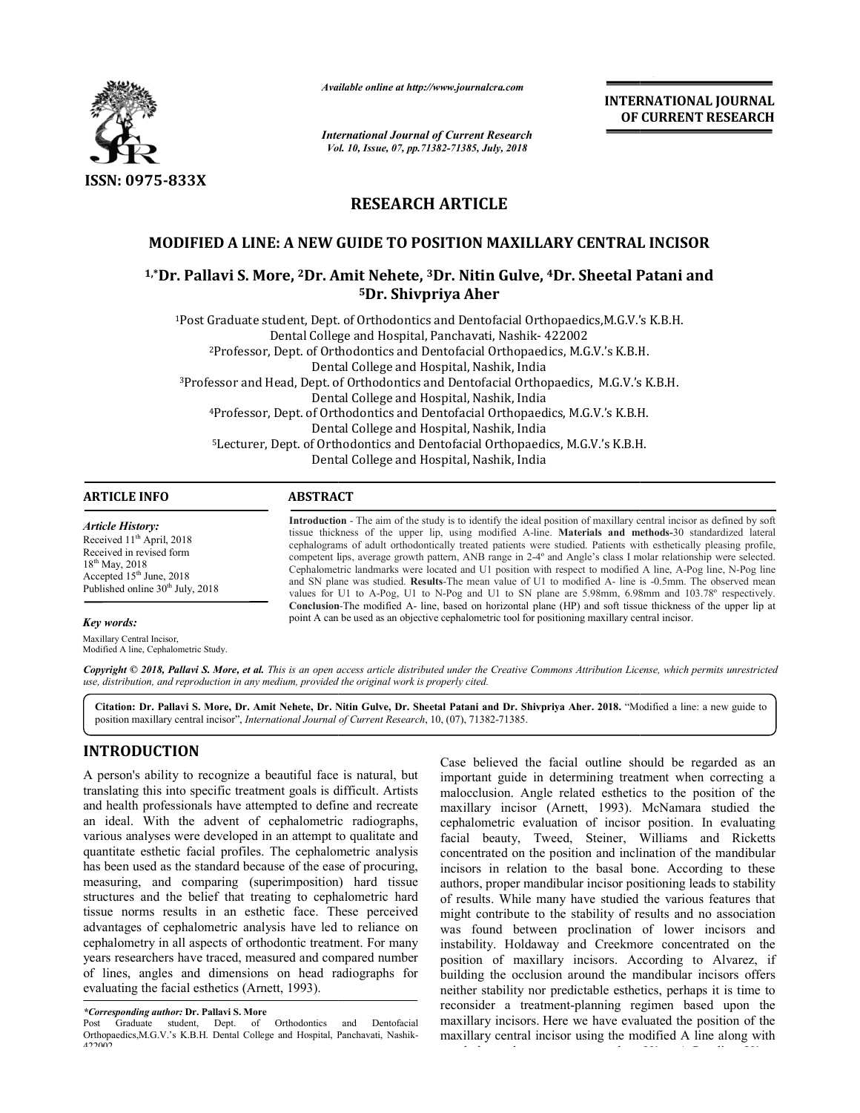

*Available online at http://www.journalcra.com*

*International Journal of Current Research Vol. 10, Issue, 07, Vol. pp.71382-71385, July, 2018*

**INTERNATIONAL JOURNAL OF CURRENT RESEARCH**

# **RESEARCH ARTICLE**

# **MODIFIED A LINE: A NEW GUIDE TO POSITION MAXILLARY CENTRAL INCISOR**

<sup>1,\*</sup>Dr. Pallavi S. More, <sup>2</sup>Dr. Amit Nehete, <sup>3</sup>Dr. Nitin Gulve, <sup>4</sup>Dr. Sheetal Patani and **5Dr. Shivpriya Aher**

1Post Graduate student, Dept. of Orthodontics and Dentofacial Orthopaedics,M.G.V.'s K.B.H. Post Hospital, Panchavati, Nashik- <sup>422002</sup> Dental College and Hospital, Panchavati, Nashik- 422002 2Professor, Dept. of Orthodontics and Dentofacial Orthopaedics, M.G.V.'s K.B.H. Professor, M.G.V.'s K.B.H. College and Hospital, Nashik, India Dental College and Hospital, Nashik, India <sup>3</sup>Professor and Head, Dept. of Orthodontics and Dentofacial Orthopaedics, M.G.V.'s K.B.H.<br>Dental College and Hospital, Nashik, India Dental College and Hospital, Nashik, India 4Professor, Dept. of Orthodontics and Dentofacial Orthopaedics, M.G.V.'s K.B.H. Professor, M.G.V.'s India Dental College and Hospital, Nashik, Indi 5Lecturer, Dept. of Orthodontics and Dentofacial Orthopaedics, M.G.V.'s K.B.H. Lecturer, M.G.V.'s K.B.H. Dental College and Hospital, Nashik, India Dentofacial Orthopaedics, M.G.V.'s K.B.H.<br>Hospital, Nashik, India<br>s and Dentofacial Orthopaedics, M.G.V.'s K<br>Hospital, Nashik, India<br>Dentofacial Orthopaedics, M.G.V.'s K.B.H.<br>Hospital, Nashik, India<br>Dentofacial Orthopaedic

### **ARTICLE INFO ABSTRACT**

*Article History:* Received 11<sup>th</sup> April, 2018 Received in revised form 18th May, 2018 Accepted 15th June, 2018 Published online 30<sup>th</sup> July, 2018

#### *Key words:*

Maxillary Central Incisor, Modified A line, Cephalometric Study. **Introduction**  - The aim of the study is to identify the ideal position of maxillary central incisor as defined by soft tissue thickness of the upper lip, using modified A-line. Materials and methods-30 standardized lateral cephalograms of adult orthodontically treated patients were studied. Patients with esthetically pleasing profile, cephalograms of adult orthodontically treated patients were studied. Patients with esthetically pleasing profile, competent lips, average growth pattern, ANB range in 2-4° and Angle's class I molar relationship were select Cephalometric landmarks were located and U1 position with respect to modified A line, A-Pog line, N-Pog line and SN plane was studied. Results-The mean value of U1 to modified A- line is -0.5mm. The observed mean values for U1 to A A-Pog, U1 to N-Pog and U1 to SN plane are 5.98mm, 6.98mm and 103.78º respectively. Conclusion-The modified A- line, based on horizontal plane (HP) and soft tissue thickness of the upper lip at point A can be used as an objective cephalometric tool for positioning maxillary central incisor.

Copyright © 2018, Pallavi S. More, et al. This is an open access article distributed under the Creative Commons Attribution License, which permits unrestricted *use, distribution, and reproduction in any medium, provided the original work is properly cited.*

Citation: Dr. Pallavi S. More, Dr. Amit Nehete, Dr. Nitin Gulve, Dr. Sheetal Patani and Dr. Shivpriya Aher. 2018. "Modified a line: a new guide to position maxillary central incisor", *International Journal of Current Research* , 10, (07), 71382-71385.

## **INTRODUCTION**

A person's ability to recognize a beautiful face is natural, but translating this into specific treatment goals is difficult. Artists and health professionals have attempted to define and recreate an ideal. With the advent of cephalometric radiographs, various analyses were developed in an attempt to qualitate and quantitate esthetic facial profiles. The cephalometric analysis has been used as the standard because of the ease of procuring, measuring, and comparing (superimposition) hard tissue structures and the belief that treating to cephalometric hard tissue norms results in an esthetic face. These perceived advantages of cephalometric analysis have led to reliance on cephalometry in all aspects of orthodontic treatment. For many years researchers have traced, measured and compared number of lines, angles and dimensions on head radiographs for evaluating the facial esthetics (Arnett, 1993). translating this into specific treatment goals is difficult. Artists<br>and health professionals have attempted to define and recreate<br>an ideal. With the advent of cephalometric radiographs,<br>various analyses were developed in

Case believed the facial outline should be regarded as an important guide in determining treatment when correcting a malocclusion. Angle related esthetics to the position of the maxillary incisor (Arnett, 1993). McNamara studied the cephalometric evaluation of incisor position. In evaluating maxillary incisor (Arnett, 1993). McNamara studied the cephalometric evaluation of incisor position. In evaluating facial beauty, Tweed, Steiner, Williams and Ricketts concentrated on the position and inclination of the mandibular concentrated on the position and inclination of the mandibular incisors in relation to the basal bone. According to these authors, proper mandibular incisor positioning leads to stability of results. While many have studied the various features that of results. While many have studied the various features that might contribute to the stability of results and no association was found between proclination of lower incisors and instability. Holdaway and Creekmore concentrated on the position of maxillary incisors. According to Alvarez, if building the occlusion around the mandibular incisors offers neither stability nor predictable esthetics, perhaps it is time to reconsider a treatment-planning regimen based upon the maxillary incisors. Here we have evaluated the position of the maxillary central incisor using the modified A line along with

to A-Pog line, U1 to

regularly used measurements such as U1 to

*<sup>\*</sup>Corresponding author:* **Dr. Pallavi S. More**

Post Graduate student, Dept. of Orthodontics and Dentofacial Orthopaedics,M.G.V.'s K.B.H. Dental College and Hospital, Panchavati, Nashik 422002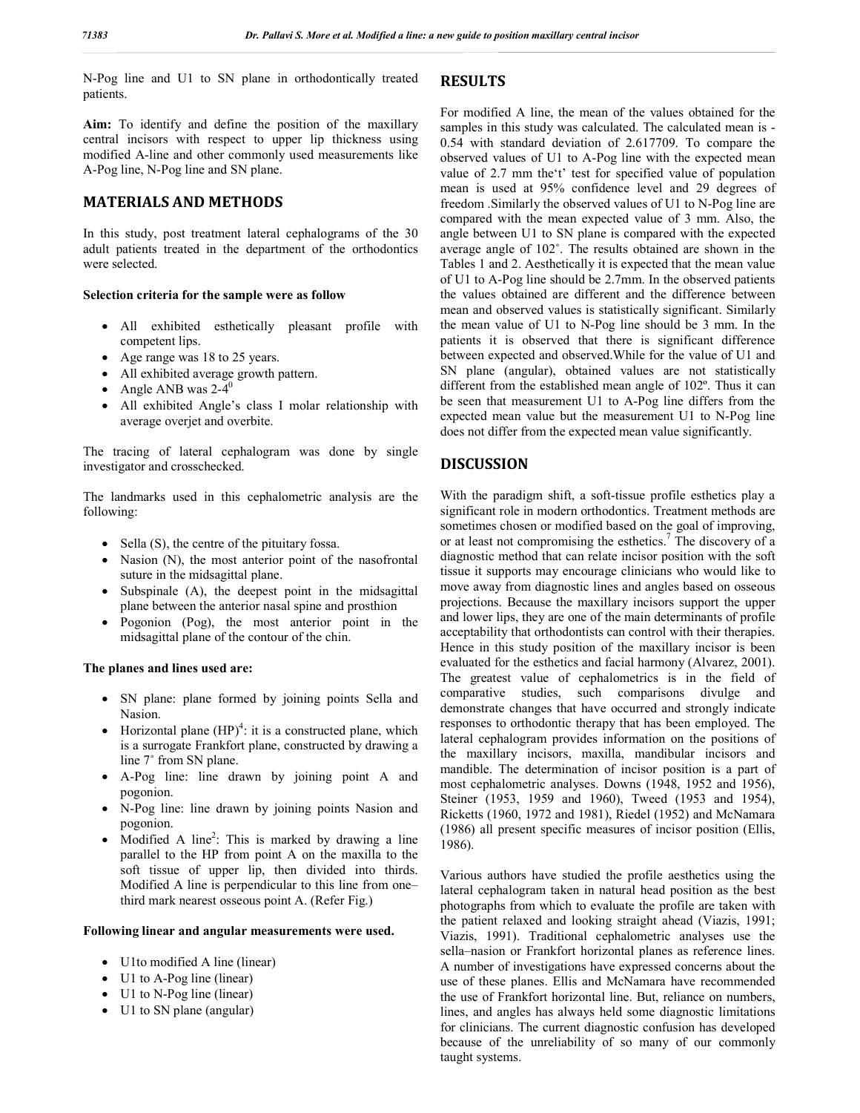N-Pog line and U1 to SN plane in orthodontically treated patients.

**Aim:** To identify and define the position of the maxillary central incisors with respect to upper lip thickness using modified A-line and other commonly used measurements like A-Pog line, N-Pog line and SN plane.

# **MATERIALS AND METHODS**

In this study, post treatment lateral cephalograms of the 30 adult patients treated in the department of the orthodontics were selected.

## **Selection criteria for the sample were as follow**

- All exhibited esthetically pleasant profile with competent lips.
- Age range was 18 to 25 years.
- All exhibited average growth pattern.
- Angle ANB was  $2-4^0$
- All exhibited Angle's class I molar relationship with average overjet and overbite.

The tracing of lateral cephalogram was done by single investigator and crosschecked.

The landmarks used in this cephalometric analysis are the following:

- $\bullet$  Sella (S), the centre of the pituitary fossa.
- Nasion (N), the most anterior point of the nasofrontal suture in the midsagittal plane.
- Subspinale (A), the deepest point in the midsagittal plane between the anterior nasal spine and prosthion
- Pogonion (Pog), the most anterior point in the midsagittal plane of the contour of the chin.

## **The planes and lines used are:**

- SN plane: plane formed by joining points Sella and Nasion.
- Horizontal plane  $(HP)^4$ : it is a constructed plane, which is a surrogate Frankfort plane, constructed by drawing a line 7˚ from SN plane.
- A-Pog line: line drawn by joining point A and pogonion.
- N-Pog line: line drawn by joining points Nasion and pogonion.
- Modified A line<sup>2</sup>: This is marked by drawing a line parallel to the HP from point A on the maxilla to the soft tissue of upper lip, then divided into thirds. Modified A line is perpendicular to this line from one– third mark nearest osseous point A. (Refer Fig.)

#### **Following linear and angular measurements were used.**

- U1to modified A line (linear)
- U1 to A-Pog line (linear)
- U1 to N-Pog line (linear)
- U1 to SN plane (angular)

## **RESULTS**

For modified A line, the mean of the values obtained for the samples in this study was calculated. The calculated mean is - 0.54 with standard deviation of 2.617709. To compare the observed values of U1 to A-Pog line with the expected mean value of 2.7 mm the't' test for specified value of population mean is used at 95% confidence level and 29 degrees of freedom .Similarly the observed values of U1 to N-Pog line are compared with the mean expected value of 3 mm. Also, the angle between U1 to SN plane is compared with the expected average angle of 102˚. The results obtained are shown in the Tables 1 and 2. Aesthetically it is expected that the mean value of U1 to A-Pog line should be 2.7mm. In the observed patients the values obtained are different and the difference between mean and observed values is statistically significant. Similarly the mean value of U1 to N-Pog line should be 3 mm. In the patients it is observed that there is significant difference between expected and observed.While for the value of U1 and SN plane (angular), obtained values are not statistically different from the established mean angle of 102º. Thus it can be seen that measurement U1 to A-Pog line differs from the expected mean value but the measurement U1 to N-Pog line does not differ from the expected mean value significantly.

# **DISCUSSION**

With the paradigm shift, a soft-tissue profile esthetics play a significant role in modern orthodontics. Treatment methods are sometimes chosen or modified based on the goal of improving, or at least not compromising the esthetics.<sup>7</sup> The discovery of a diagnostic method that can relate incisor position with the soft tissue it supports may encourage clinicians who would like to move away from diagnostic lines and angles based on osseous projections. Because the maxillary incisors support the upper and lower lips, they are one of the main determinants of profile acceptability that orthodontists can control with their therapies. Hence in this study position of the maxillary incisor is been evaluated for the esthetics and facial harmony (Alvarez, 2001). The greatest value of cephalometrics is in the field of comparative studies, such comparisons divulge and demonstrate changes that have occurred and strongly indicate responses to orthodontic therapy that has been employed. The lateral cephalogram provides information on the positions of the maxillary incisors, maxilla, mandibular incisors and mandible. The determination of incisor position is a part of most cephalometric analyses. Downs (1948, 1952 and 1956), Steiner (1953, 1959 and 1960), Tweed (1953 and 1954), Ricketts (1960, 1972 and 1981), Riedel (1952) and McNamara (1986) all present specific measures of incisor position (Ellis, 1986).

Various authors have studied the profile aesthetics using the lateral cephalogram taken in natural head position as the best photographs from which to evaluate the profile are taken with the patient relaxed and looking straight ahead (Viazis, 1991; Viazis, 1991). Traditional cephalometric analyses use the sella–nasion or Frankfort horizontal planes as reference lines. A number of investigations have expressed concerns about the use of these planes. Ellis and McNamara have recommended the use of Frankfort horizontal line. But, reliance on numbers, lines, and angles has always held some diagnostic limitations for clinicians. The current diagnostic confusion has developed because of the unreliability of so many of our commonly taught systems.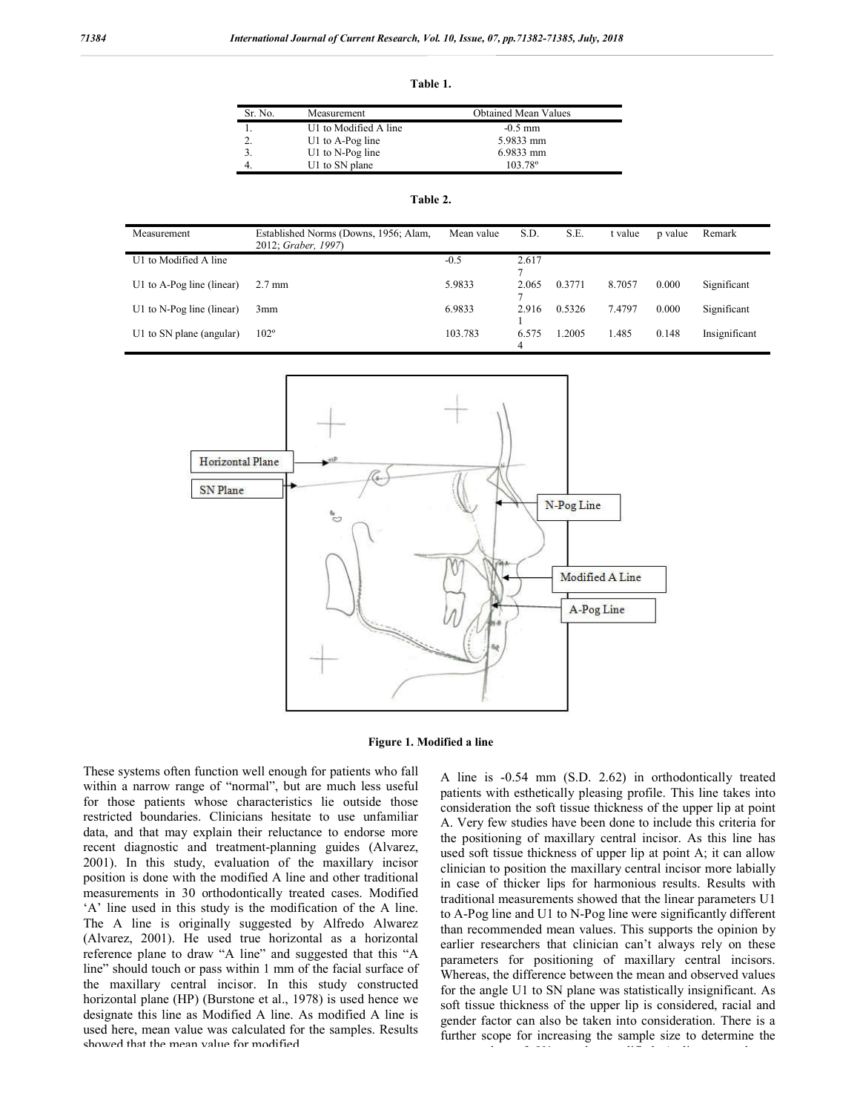**Table 1.**

| Sr. No.             | Measurement           | <b>Obtained Mean Values</b> |
|---------------------|-----------------------|-----------------------------|
|                     | U1 to Modified A line | $-0.5$ mm                   |
| $\mathcal{D}$<br>۷, | $U1$ to A-Pog line    | 5.9833 mm                   |
|                     | U1 to $N$ -Pog line   | 6.9833 mm                   |
|                     | U1 to SN plane        | 103 78 <sup>°</sup>         |

| Measurement               | Established Norms (Downs, 1956; Alam,<br>2012; Graber, 1997) | Mean value | S.D.       | S.E.   | t value | p value | Remark        |
|---------------------------|--------------------------------------------------------------|------------|------------|--------|---------|---------|---------------|
| U1 to Modified A line     |                                                              | $-0.5$     | 2.617      |        |         |         |               |
| U1 to A-Pog line (linear) | $2.7 \text{ mm}$                                             | 5.9833     | 2.065      | 0.3771 | 8.7057  | 0.000   | Significant   |
| U1 to N-Pog line (linear) | 3 <sub>mm</sub>                                              | 6.9833     | 2.916      | 0.5326 | 7.4797  | 0.000   | Significant   |
| U1 to SN plane (angular)  | $102^{\circ}$                                                | 103.783    | 6.575<br>4 | .2005  | 1.485   | 0.148   | Insignificant |



**Figure 1. Modified a line**

These systems often function well enough for patients who fall within a narrow range of "normal", but are much less useful for those patients whose characteristics lie outside those restricted boundaries. Clinicians hesitate to use unfamiliar data, and that may explain their reluctance to endorse more recent diagnostic and treatment-planning guides (Alvarez, 2001). In this study, evaluation of the maxillary incisor position is done with the modified A line and other traditional measurements in 30 orthodontically treated cases. Modified 'A' line used in this study is the modification of the A line. The A line is originally suggested by Alfredo Alwarez (Alvarez, 2001). He used true horizontal as a horizontal reference plane to draw "A line" and suggested that this "A line" should touch or pass within 1 mm of the facial surface of the maxillary central incisor. In this study constructed horizontal plane (HP) (Burstone et al., 1978) is used hence we designate this line as Modified A line. As modified A line is used here, mean value was calculated for the samples. Results showed that the mean value for modified.

A line is -0.54 mm (S.D. 2.62) in orthodontically treated patients with esthetically pleasing profile. This line takes into consideration the soft tissue thickness of the upper lip at point A. Very few studies have been done to include this criteria for the positioning of maxillary central incisor. As this line has used soft tissue thickness of upper lip at point A; it can allow clinician to position the maxillary central incisor more labially in case of thicker lips for harmonious results. Results with traditional measurements showed that the linear parameters U1 to A-Pog line and U1 to N-Pog line were significantly different than recommended mean values. This supports the opinion by earlier researchers that clinician can't always rely on these parameters for positioning of maxillary central incisors. Whereas, the difference between the mean and observed values for the angle U1 to SN plane was statistically insignificant. As soft tissue thickness of the upper lip is considered, racial and gender factor can also be taken into consideration. There is a further scope for increasing the sample size to determine the

mean value of U1 to the modified A line of U1 to the modified A line over larger and the modified A line over<br>The model of U1 to the model of U1 to the model of U1 to the model of U1 to the model of U1 to the model of U1